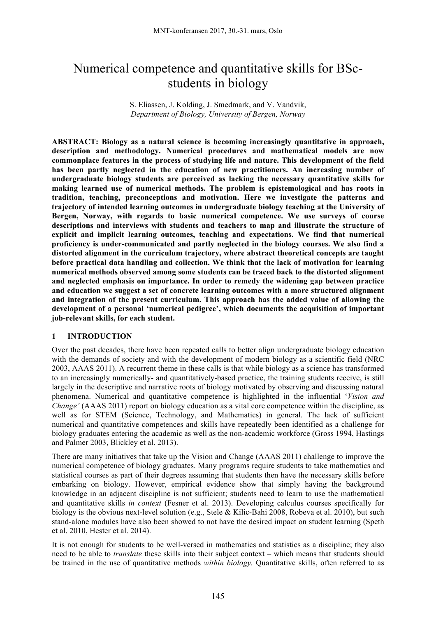# Numerical competence and quantitative skills for BScstudents in biology

S. Eliassen, J. Kolding, J. Smedmark, and V. Vandvik, *Department of Biology, University of Bergen, Norway*

**ABSTRACT: Biology as a natural science is becoming increasingly quantitative in approach, description and methodology. Numerical procedures and mathematical models are now commonplace features in the process of studying life and nature. This development of the field has been partly neglected in the education of new practitioners. An increasing number of undergraduate biology students are perceived as lacking the necessary quantitative skills for making learned use of numerical methods. The problem is epistemological and has roots in tradition, teaching, preconceptions and motivation. Here we investigate the patterns and trajectory of intended learning outcomes in undergraduate biology teaching at the University of Bergen, Norway, with regards to basic numerical competence. We use surveys of course descriptions and interviews with students and teachers to map and illustrate the structure of explicit and implicit learning outcomes, teaching and expectations. We find that numerical proficiency is under-communicated and partly neglected in the biology courses. We also find a distorted alignment in the curriculum trajectory, where abstract theoretical concepts are taught before practical data handling and collection. We think that the lack of motivation for learning numerical methods observed among some students can be traced back to the distorted alignment and neglected emphasis on importance. In order to remedy the widening gap between practice and education we suggest a set of concrete learning outcomes with a more structured alignment and integration of the present curriculum. This approach has the added value of allowing the development of a personal 'numerical pedigree', which documents the acquisition of important job-relevant skills, for each student.**

## **1 INTRODUCTION**

Over the past decades, there have been repeated calls to better align undergraduate biology education with the demands of society and with the development of modern biology as a scientific field (NRC) 2003, AAAS 2011). A recurrent theme in these calls is that while biology as a science has transformed to an increasingly numerically- and quantitatively-based practice, the training students receive, is still largely in the descriptive and narrative roots of biology motivated by observing and discussing natural phenomena. Numerical and quantitative competence is highlighted in the influential '*Vision and Change'* (AAAS 2011) report on biology education as a vital core competence within the discipline, as well as for STEM (Science, Technology, and Mathematics) in general. The lack of sufficient numerical and quantitative competences and skills have repeatedly been identified as a challenge for biology graduates entering the academic as well as the non-academic workforce (Gross 1994, Hastings and Palmer 2003, Blickley et al. 2013).

There are many initiatives that take up the Vision and Change (AAAS 2011) challenge to improve the numerical competence of biology graduates. Many programs require students to take mathematics and statistical courses as part of their degrees assuming that students then have the necessary skills before embarking on biology. However, empirical evidence show that simply having the background knowledge in an adjacent discipline is not sufficient; students need to learn to use the mathematical and quantitative skills *in context* (Fesner et al. 2013). Developing calculus courses specifically for biology is the obvious next-level solution (e.g., Stele & Kilic-Bahi 2008, Robeva et al. 2010), but such stand-alone modules have also been showed to not have the desired impact on student learning (Speth et al. 2010, Hester et al. 2014).

It is not enough for students to be well-versed in mathematics and statistics as a discipline; they also need to be able to *translate* these skills into their subject context – which means that students should be trained in the use of quantitative methods *within biology.* Quantitative skills, often referred to as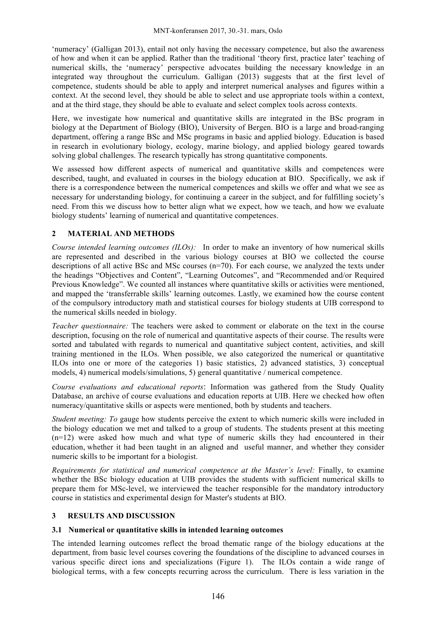'numeracy' (Galligan 2013), entail not only having the necessary competence, but also the awareness of how and when it can be applied. Rather than the traditional 'theory first, practice later' teaching of numerical skills, the 'numeracy' perspective advocates building the necessary knowledge in an integrated way throughout the curriculum. Galligan (2013) suggests that at the first level of competence, students should be able to apply and interpret numerical analyses and figures within a context. At the second level, they should be able to select and use appropriate tools within a context, and at the third stage, they should be able to evaluate and select complex tools across contexts.

Here, we investigate how numerical and quantitative skills are integrated in the BSc program in biology at the Department of Biology (BIO), University of Bergen. BIO is a large and broad-ranging department, offering a range BSc and MSc programs in basic and applied biology. Education is based in research in evolutionary biology, ecology, marine biology, and applied biology geared towards solving global challenges. The research typically has strong quantitative components.

We assessed how different aspects of numerical and quantitative skills and competences were described, taught, and evaluated in courses in the biology education at BIO. Specifically, we ask if there is a correspondence between the numerical competences and skills we offer and what we see as necessary for understanding biology, for continuing a career in the subject, and for fulfilling society's need. From this we discuss how to better align what we expect, how we teach, and how we evaluate biology students' learning of numerical and quantitative competences.

# **2 MATERIAL AND METHODS**

*Course intended learning outcomes (ILOs):* In order to make an inventory of how numerical skills are represented and described in the various biology courses at BIO we collected the course descriptions of all active BSc and MSc courses  $(n=70)$ . For each course, we analyzed the texts under the headings "Objectives and Content", "Learning Outcomes", and "Recommended and/or Required Previous Knowledge". We counted all instances where quantitative skills or activities were mentioned, and mapped the 'transferrable skills' learning outcomes. Lastly, we examined how the course content of the compulsory introductory math and statistical courses for biology students at UIB correspond to the numerical skills needed in biology.

*Teacher questionnaire:* The teachers were asked to comment or elaborate on the text in the course description, focusing on the role of numerical and quantitative aspects of their course. The results were sorted and tabulated with regards to numerical and quantitative subject content, activities, and skill training mentioned in the ILOs. When possible, we also categorized the numerical or quantitative ILOs into one or more of the categories 1) basic statistics, 2) advanced statistics, 3) conceptual models, 4) numerical models/simulations, 5) general quantitative / numerical competence.

*Course evaluations and educational reports*: Information was gathered from the Study Quality Database, an archive of course evaluations and education reports at UIB. Here we checked how often numeracy/quantitative skills or aspects were mentioned, both by students and teachers.

*Student meeting: To* gauge how students perceive the extent to which numeric skills were included in the biology education we met and talked to a group of students. The students present at this meeting  $(n=12)$  were asked how much and what type of numeric skills they had encountered in their education, whether it had been taught in an aligned and useful manner, and whether they consider numeric skills to be important for a biologist.

*Requirements for statistical and numerical competence at the Master's level:* Finally, to examine whether the BSc biology education at UIB provides the students with sufficient numerical skills to prepare them for MSc-level, we interviewed the teacher responsible for the mandatory introductory course in statistics and experimental design for Master's students at BIO.

## **3 RESULTS AND DISCUSSION**

## **3.1 Numerical or quantitative skills in intended learning outcomes**

The intended learning outcomes reflect the broad thematic range of the biology educations at the department, from basic level courses covering the foundations of the discipline to advanced courses in various specific direct ions and specializations (Figure 1). The ILOs contain a wide range of biological terms, with a few concepts recurring across the curriculum. There is less variation in the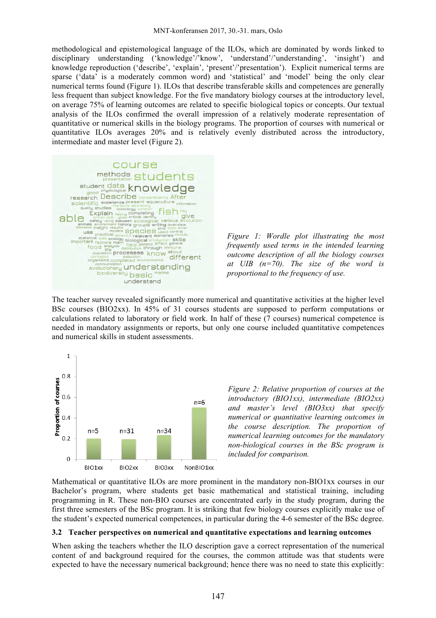methodological and epistemological language of the ILOs, which are dominated by words linked to disciplinary understanding ('knowledge'/'know', 'understand'/'understanding', 'insight') and knowledge reproduction ('describe', 'explain', 'present'/'presentation'). Explicit numerical terms are sparse ('data' is a moderately common word) and 'statistical' and 'model' being the only clear numerical terms found (Figure 1). ILOs that describe transferable skills and competences are generally less frequent than subject knowledge. For the five mandatory biology courses at the introductory level, on average 75% of learning outcomes are related to specific biological topics or concepts. Our textual analysis of the ILOs confirmed the overall impression of a relatively moderate representation of quantitative or numerical skills in the biology programs. The proportion of courses with numerical or quantitative ILOs averages 20% and is relatively evenly distributed across the introductory, intermediate and master level (Figure 2).





The teacher survey revealed significantly more numerical and quantitative activities at the higher level BSc courses (BIO2xx). In 45% of 31 courses students are supposed to perform computations or calculations related to laboratory or field work. In half of these (7 courses) numerical competence is needed in mandatory assignments or reports, but only one course included quantitative competences and numerical skills in student assessments.



*Figure 2: Relative proportion of courses at the introductory (BIO1xx), intermediate (BIO2xx) and master's level (BIO3xx) that specify numerical or quantitative learning outcomes in the course description. The proportion of numerical learning outcomes for the mandatory non-biological courses in the BSc program is included for comparison.*

Mathematical or quantitative ILOs are more prominent in the mandatory non-BIO1xx courses in our Bachelor's program, where students get basic mathematical and statistical training, including programming in R. These non-BIO courses are concentrated early in the study program, during the first three semesters of the BSc program. It is striking that few biology courses explicitly make use of the student's expected numerical competences, in particular during the 4-6 semester of the BSc degree.

#### **3.2 Teacher perspectives on numerical and quantitative expectations and learning outcomes**

When asking the teachers whether the ILO description gave a correct representation of the numerical content of and background required for the courses, the common attitude was that students were expected to have the necessary numerical background; hence there was no need to state this explicitly: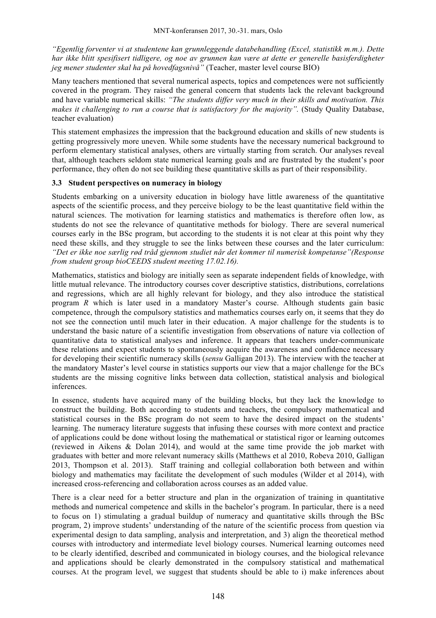*"Egentlig forventer vi at studentene kan grunnleggende databehandling (Excel, statistikk m.m.). Dette har ikke blitt spesifisert tidligere, og noe av grunnen kan være at dette er generelle basisferdigheter jeg mener studenter skal ha på hovedfagsnivå"* (Teacher, master level course BIO)

Many teachers mentioned that several numerical aspects, topics and competences were not sufficiently covered in the program. They raised the general concern that students lack the relevant background and have variable numerical skills: *"The students differ very much in their skills and motivation. This makes it challenging to run a course that is satisfactory for the majority".* (Study Quality Database, teacher evaluation)

This statement emphasizes the impression that the background education and skills of new students is getting progressively more uneven. While some students have the necessary numerical background to perform elementary statistical analyses, others are virtually starting from scratch. Our analyses reveal that, although teachers seldom state numerical learning goals and are frustrated by the student's poor performance, they often do not see building these quantitative skills as part of their responsibility.

#### **3.3 Student perspectives on numeracy in biology**

Students embarking on a university education in biology have little awareness of the quantitative aspects of the scientific process, and they perceive biology to be the least quantitative field within the natural sciences. The motivation for learning statistics and mathematics is therefore often low, as students do not see the relevance of quantitative methods for biology. There are several numerical courses early in the BSc program, but according to the students it is not clear at this point why they need these skills, and they struggle to see the links between these courses and the later curriculum: *"Det er ikke noe særlig rød tråd gjennom studiet når det kommer til numerisk kompetanse"(Response from student group bioCEEDS student meeting 17.02.16).* 

Mathematics, statistics and biology are initially seen as separate independent fields of knowledge, with little mutual relevance. The introductory courses cover descriptive statistics, distributions, correlations and regressions, which are all highly relevant for biology, and they also introduce the statistical program *R* which is later used in a mandatory Master's course. Although students gain basic competence, through the compulsory statistics and mathematics courses early on, it seems that they do not see the connection until much later in their education. A major challenge for the students is to understand the basic nature of a scientific investigation from observations of nature via collection of quantitative data to statistical analyses and inference. It appears that teachers under-communicate these relations and expect students to spontaneously acquire the awareness and confidence necessary for developing their scientific numeracy skills (*sensu* Galligan 2013). The interview with the teacher at the mandatory Master's level course in statistics supports our view that a major challenge for the BCs students are the missing cognitive links between data collection, statistical analysis and biological inferences.

In essence, students have acquired many of the building blocks, but they lack the knowledge to construct the building. Both according to students and teachers, the compulsory mathematical and statistical courses in the BSc program do not seem to have the desired impact on the students' learning. The numeracy literature suggests that infusing these courses with more context and practice of applications could be done without losing the mathematical or statistical rigor or learning outcomes (reviewed in Aikens & Dolan 2014), and would at the same time provide the job market with graduates with better and more relevant numeracy skills (Matthews et al 2010, Robeva 2010, Galligan 2013, Thompson et al. 2013). Staff training and collegial collaboration both between and within biology and mathematics may facilitate the development of such modules (Wilder et al 2014), with increased cross-referencing and collaboration across courses as an added value.

There is a clear need for a better structure and plan in the organization of training in quantitative methods and numerical competence and skills in the bachelor's program. In particular, there is a need to focus on 1) stimulating a gradual buildup of numeracy and quantitative skills through the BSc program, 2) improve students' understanding of the nature of the scientific process from question via experimental design to data sampling, analysis and interpretation, and 3) align the theoretical method courses with introductory and intermediate level biology courses. Numerical learning outcomes need to be clearly identified, described and communicated in biology courses, and the biological relevance and applications should be clearly demonstrated in the compulsory statistical and mathematical courses. At the program level, we suggest that students should be able to i) make inferences about